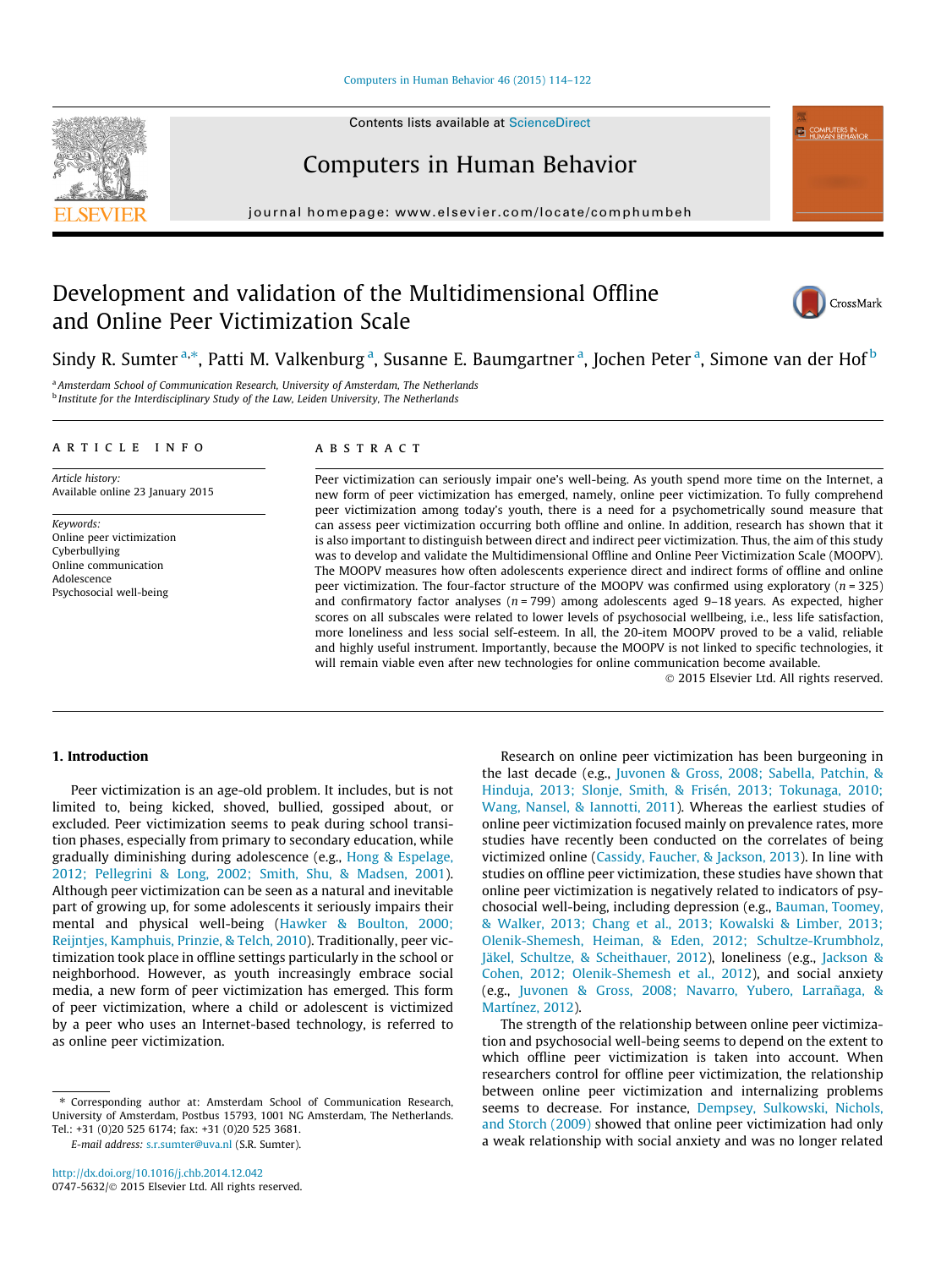#### [Computers in Human Behavior 46 \(2015\) 114–122](http://dx.doi.org/10.1016/j.chb.2014.12.042)

Contents lists available at [ScienceDirect](http://www.sciencedirect.com/science/journal/07475632)



Computers in Human Behavior

journal homepage: [www.elsevier.com/locate/comphumbeh](http://www.elsevier.com/locate/comphumbeh)

# Development and validation of the Multidimensional Offline and Online Peer Victimization Scale



**ED COMPUTERS IN** 

Sindy R. Sumter<sup>a,\*</sup>, Patti M. Valkenburg<sup>a</sup>, Susanne E. Baumgartner<sup>a</sup>, Jochen Peter<sup>a</sup>, Simone van der Hof<sup>b</sup>

a Amsterdam School of Communication Research, University of Amsterdam, The Netherlands <sup>b</sup> Institute for the Interdisciplinary Study of the Law, Leiden University, The Netherlands

# article info

Article history: Available online 23 January 2015

Keywords: Online peer victimization Cyberbullying Online communication Adolescence Psychosocial well-being

# ABSTRACT

Peer victimization can seriously impair one's well-being. As youth spend more time on the Internet, a new form of peer victimization has emerged, namely, online peer victimization. To fully comprehend peer victimization among today's youth, there is a need for a psychometrically sound measure that can assess peer victimization occurring both offline and online. In addition, research has shown that it is also important to distinguish between direct and indirect peer victimization. Thus, the aim of this study was to develop and validate the Multidimensional Offline and Online Peer Victimization Scale (MOOPV). The MOOPV measures how often adolescents experience direct and indirect forms of offline and online peer victimization. The four-factor structure of the MOOPV was confirmed using exploratory  $(n = 325)$ and confirmatory factor analyses ( $n = 799$ ) among adolescents aged 9-18 years. As expected, higher scores on all subscales were related to lower levels of psychosocial wellbeing, i.e., less life satisfaction, more loneliness and less social self-esteem. In all, the 20-item MOOPV proved to be a valid, reliable and highly useful instrument. Importantly, because the MOOPV is not linked to specific technologies, it will remain viable even after new technologies for online communication become available.

- 2015 Elsevier Ltd. All rights reserved.

# 1. Introduction

Peer victimization is an age-old problem. It includes, but is not limited to, being kicked, shoved, bullied, gossiped about, or excluded. Peer victimization seems to peak during school transition phases, especially from primary to secondary education, while gradually diminishing during adolescence (e.g., [Hong & Espelage,](#page-7-0) [2012; Pellegrini & Long, 2002; Smith, Shu, & Madsen, 2001\)](#page-7-0). Although peer victimization can be seen as a natural and inevitable part of growing up, for some adolescents it seriously impairs their mental and physical well-being [\(Hawker & Boulton, 2000;](#page-7-0) [Reijntjes, Kamphuis, Prinzie, & Telch, 2010\)](#page-7-0). Traditionally, peer victimization took place in offline settings particularly in the school or neighborhood. However, as youth increasingly embrace social media, a new form of peer victimization has emerged. This form of peer victimization, where a child or adolescent is victimized by a peer who uses an Internet-based technology, is referred to as online peer victimization.

E-mail address: [s.r.sumter@uva.nl](mailto:s.r.sumter@uva.nl) (S.R. Sumter).

Research on online peer victimization has been burgeoning in the last decade (e.g., [Juvonen & Gross, 2008; Sabella, Patchin, &](#page-7-0) [Hinduja, 2013; Slonje, Smith, & Frisén, 2013; Tokunaga, 2010;](#page-7-0) [Wang, Nansel, & Iannotti, 2011](#page-7-0)). Whereas the earliest studies of online peer victimization focused mainly on prevalence rates, more studies have recently been conducted on the correlates of being victimized online [\(Cassidy, Faucher, & Jackson, 2013\)](#page-7-0). In line with studies on offline peer victimization, these studies have shown that online peer victimization is negatively related to indicators of psychosocial well-being, including depression (e.g., [Bauman, Toomey,](#page-7-0) [& Walker, 2013; Chang et al., 2013; Kowalski & Limber, 2013;](#page-7-0) [Olenik-Shemesh, Heiman, & Eden, 2012; Schultze-Krumbholz,](#page-7-0) [Jäkel, Schultze, & Scheithauer, 2012\)](#page-7-0), loneliness (e.g., [Jackson &](#page-7-0) [Cohen, 2012; Olenik-Shemesh et al., 2012\)](#page-7-0), and social anxiety (e.g., [Juvonen & Gross, 2008; Navarro, Yubero, Larrañaga, &](#page-7-0) [Martínez, 2012](#page-7-0)).

The strength of the relationship between online peer victimization and psychosocial well-being seems to depend on the extent to which offline peer victimization is taken into account. When researchers control for offline peer victimization, the relationship between online peer victimization and internalizing problems seems to decrease. For instance, [Dempsey, Sulkowski, Nichols,](#page-7-0) [and Storch \(2009\)](#page-7-0) showed that online peer victimization had only a weak relationship with social anxiety and was no longer related

<sup>⇑</sup> Corresponding author at: Amsterdam School of Communication Research, University of Amsterdam, Postbus 15793, 1001 NG Amsterdam, The Netherlands. Tel.: +31 (0)20 525 6174; fax: +31 (0)20 525 3681.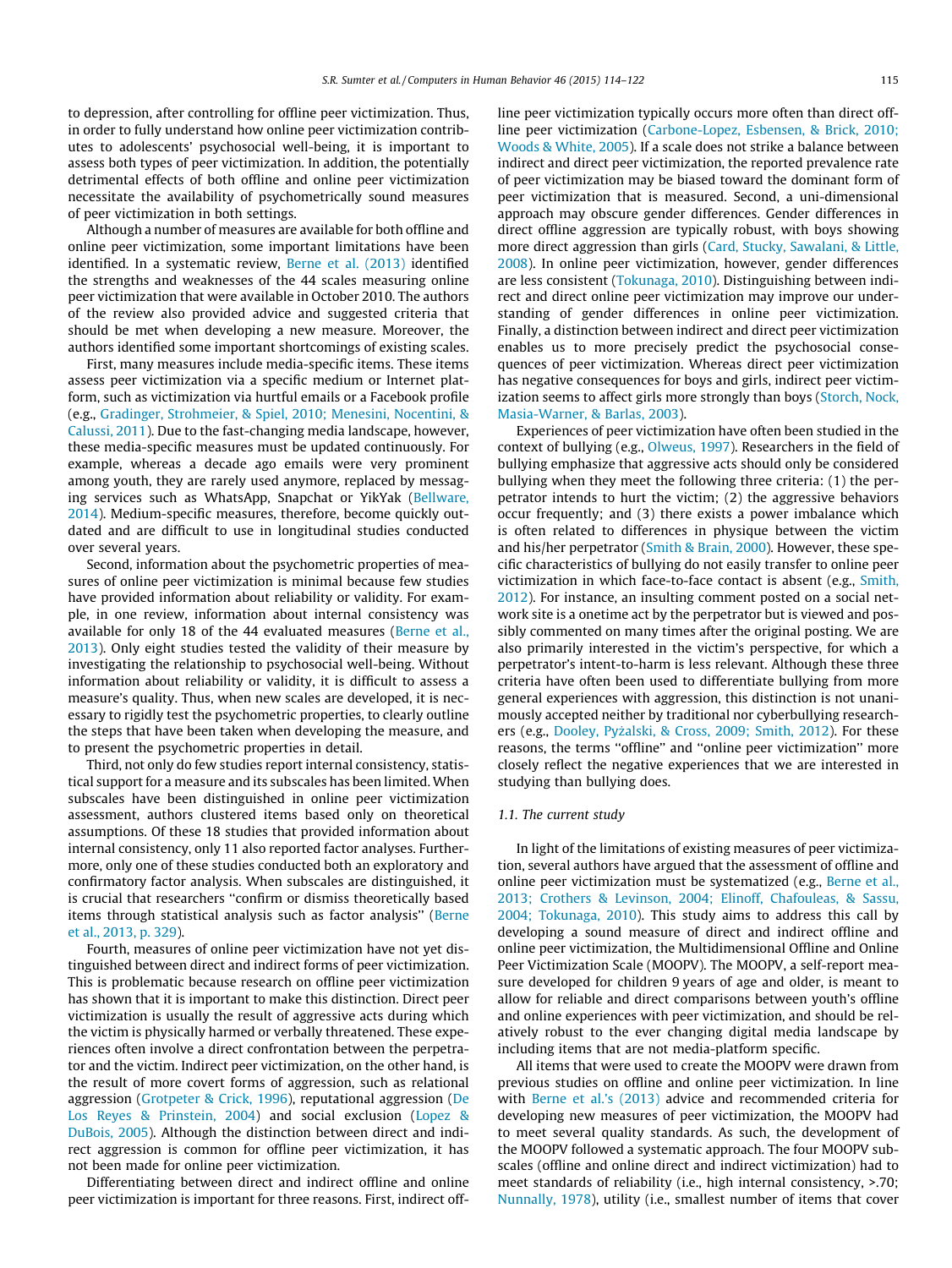to depression, after controlling for offline peer victimization. Thus, in order to fully understand how online peer victimization contributes to adolescents' psychosocial well-being, it is important to assess both types of peer victimization. In addition, the potentially detrimental effects of both offline and online peer victimization necessitate the availability of psychometrically sound measures of peer victimization in both settings.

Although a number of measures are available for both offline and online peer victimization, some important limitations have been identified. In a systematic review, [Berne et al. \(2013\)](#page-7-0) identified the strengths and weaknesses of the 44 scales measuring online peer victimization that were available in October 2010. The authors of the review also provided advice and suggested criteria that should be met when developing a new measure. Moreover, the authors identified some important shortcomings of existing scales.

First, many measures include media-specific items. These items assess peer victimization via a specific medium or Internet platform, such as victimization via hurtful emails or a Facebook profile (e.g., [Gradinger, Strohmeier, & Spiel, 2010; Menesini, Nocentini, &](#page-7-0) [Calussi, 2011\)](#page-7-0). Due to the fast-changing media landscape, however, these media-specific measures must be updated continuously. For example, whereas a decade ago emails were very prominent among youth, they are rarely used anymore, replaced by messaging services such as WhatsApp, Snapchat or YikYak ([Bellware,](#page-7-0) [2014\)](#page-7-0). Medium-specific measures, therefore, become quickly outdated and are difficult to use in longitudinal studies conducted over several years.

Second, information about the psychometric properties of measures of online peer victimization is minimal because few studies have provided information about reliability or validity. For example, in one review, information about internal consistency was available for only 18 of the 44 evaluated measures [\(Berne et al.,](#page-7-0) [2013\)](#page-7-0). Only eight studies tested the validity of their measure by investigating the relationship to psychosocial well-being. Without information about reliability or validity, it is difficult to assess a measure's quality. Thus, when new scales are developed, it is necessary to rigidly test the psychometric properties, to clearly outline the steps that have been taken when developing the measure, and to present the psychometric properties in detail.

Third, not only do few studies report internal consistency, statistical support for a measure and its subscales has been limited. When subscales have been distinguished in online peer victimization assessment, authors clustered items based only on theoretical assumptions. Of these 18 studies that provided information about internal consistency, only 11 also reported factor analyses. Furthermore, only one of these studies conducted both an exploratory and confirmatory factor analysis. When subscales are distinguished, it is crucial that researchers ''confirm or dismiss theoretically based items through statistical analysis such as factor analysis'' ([Berne](#page-7-0) [et al., 2013, p. 329\)](#page-7-0).

Fourth, measures of online peer victimization have not yet distinguished between direct and indirect forms of peer victimization. This is problematic because research on offline peer victimization has shown that it is important to make this distinction. Direct peer victimization is usually the result of aggressive acts during which the victim is physically harmed or verbally threatened. These experiences often involve a direct confrontation between the perpetrator and the victim. Indirect peer victimization, on the other hand, is the result of more covert forms of aggression, such as relational aggression ([Grotpeter & Crick, 1996](#page-7-0)), reputational aggression [\(De](#page-7-0) [Los Reyes & Prinstein, 2004\)](#page-7-0) and social exclusion [\(Lopez &](#page-7-0) [DuBois, 2005\)](#page-7-0). Although the distinction between direct and indirect aggression is common for offline peer victimization, it has not been made for online peer victimization.

Differentiating between direct and indirect offline and online peer victimization is important for three reasons. First, indirect offline peer victimization typically occurs more often than direct offline peer victimization [\(Carbone-Lopez, Esbensen, & Brick, 2010;](#page-7-0) [Woods & White, 2005\)](#page-7-0). If a scale does not strike a balance between indirect and direct peer victimization, the reported prevalence rate of peer victimization may be biased toward the dominant form of peer victimization that is measured. Second, a uni-dimensional approach may obscure gender differences. Gender differences in direct offline aggression are typically robust, with boys showing more direct aggression than girls ([Card, Stucky, Sawalani, & Little,](#page-7-0) [2008](#page-7-0)). In online peer victimization, however, gender differences are less consistent ([Tokunaga, 2010](#page-8-0)). Distinguishing between indirect and direct online peer victimization may improve our understanding of gender differences in online peer victimization. Finally, a distinction between indirect and direct peer victimization enables us to more precisely predict the psychosocial consequences of peer victimization. Whereas direct peer victimization has negative consequences for boys and girls, indirect peer victimization seems to affect girls more strongly than boys ([Storch, Nock,](#page-8-0) [Masia-Warner, & Barlas, 2003\)](#page-8-0).

Experiences of peer victimization have often been studied in the context of bullying (e.g., [Olweus, 1997\)](#page-7-0). Researchers in the field of bullying emphasize that aggressive acts should only be considered bullying when they meet the following three criteria: (1) the perpetrator intends to hurt the victim; (2) the aggressive behaviors occur frequently; and (3) there exists a power imbalance which is often related to differences in physique between the victim and his/her perpetrator [\(Smith & Brain, 2000](#page-8-0)). However, these specific characteristics of bullying do not easily transfer to online peer victimization in which face-to-face contact is absent (e.g., [Smith,](#page-8-0) [2012](#page-8-0)). For instance, an insulting comment posted on a social network site is a onetime act by the perpetrator but is viewed and possibly commented on many times after the original posting. We are also primarily interested in the victim's perspective, for which a perpetrator's intent-to-harm is less relevant. Although these three criteria have often been used to differentiate bullying from more general experiences with aggression, this distinction is not unanimously accepted neither by traditional nor cyberbullying research-ers (e.g., [Dooley, Pyzalski, & Cross, 2009; Smith, 2012](#page-7-0)). For these reasons, the terms ''offline'' and ''online peer victimization'' more closely reflect the negative experiences that we are interested in studying than bullying does.

## 1.1. The current study

In light of the limitations of existing measures of peer victimization, several authors have argued that the assessment of offline and online peer victimization must be systematized (e.g., [Berne et al.,](#page-7-0) [2013; Crothers & Levinson, 2004; Elinoff, Chafouleas, & Sassu,](#page-7-0) [2004; Tokunaga, 2010](#page-7-0)). This study aims to address this call by developing a sound measure of direct and indirect offline and online peer victimization, the Multidimensional Offline and Online Peer Victimization Scale (MOOPV). The MOOPV, a self-report measure developed for children 9 years of age and older, is meant to allow for reliable and direct comparisons between youth's offline and online experiences with peer victimization, and should be relatively robust to the ever changing digital media landscape by including items that are not media-platform specific.

All items that were used to create the MOOPV were drawn from previous studies on offline and online peer victimization. In line with [Berne et al.'s \(2013\)](#page-7-0) advice and recommended criteria for developing new measures of peer victimization, the MOOPV had to meet several quality standards. As such, the development of the MOOPV followed a systematic approach. The four MOOPV subscales (offline and online direct and indirect victimization) had to meet standards of reliability (i.e., high internal consistency, >.70; [Nunnally, 1978\)](#page-7-0), utility (i.e., smallest number of items that cover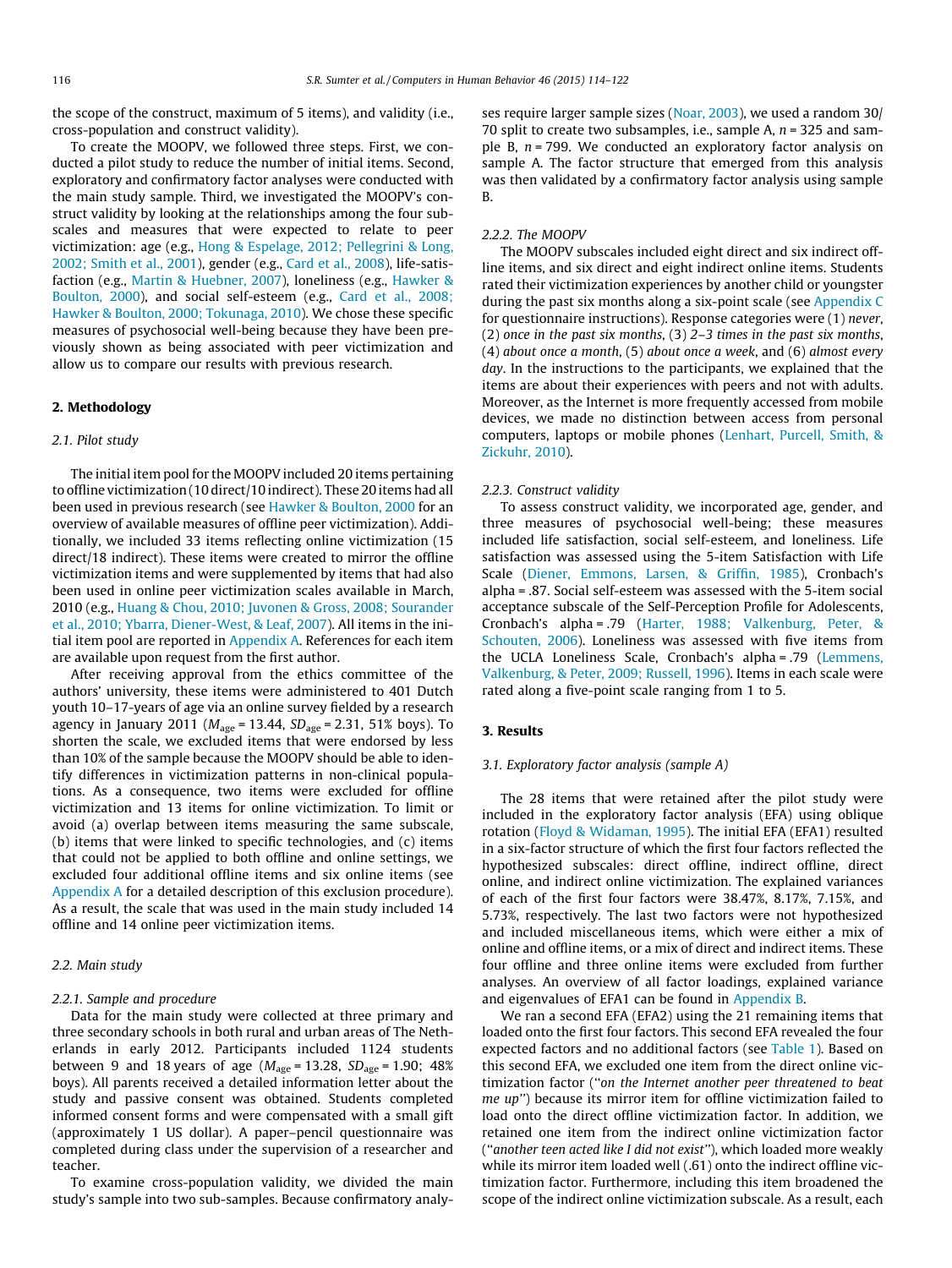the scope of the construct, maximum of 5 items), and validity (i.e., cross-population and construct validity).

To create the MOOPV, we followed three steps. First, we conducted a pilot study to reduce the number of initial items. Second, exploratory and confirmatory factor analyses were conducted with the main study sample. Third, we investigated the MOOPV's construct validity by looking at the relationships among the four subscales and measures that were expected to relate to peer victimization: age (e.g., [Hong & Espelage, 2012; Pellegrini & Long,](#page-7-0) [2002; Smith et al., 2001](#page-7-0)), gender (e.g., [Card et al., 2008\)](#page-7-0), life-satisfaction (e.g., [Martin & Huebner, 2007](#page-7-0)), loneliness (e.g., [Hawker &](#page-7-0) [Boulton, 2000\)](#page-7-0), and social self-esteem (e.g., [Card et al., 2008;](#page-7-0) [Hawker & Boulton, 2000; Tokunaga, 2010](#page-7-0)). We chose these specific measures of psychosocial well-being because they have been previously shown as being associated with peer victimization and allow us to compare our results with previous research.

# 2. Methodology

# 2.1. Pilot study

The initial item pool for the MOOPV included 20 items pertaining to offline victimization (10 direct/10 indirect). These 20 items had all been used in previous research (see [Hawker & Boulton, 2000](#page-7-0) for an overview of available measures of offline peer victimization). Additionally, we included 33 items reflecting online victimization (15 direct/18 indirect). These items were created to mirror the offline victimization items and were supplemented by items that had also been used in online peer victimization scales available in March, 2010 (e.g., [Huang & Chou, 2010; Juvonen & Gross, 2008; Sourander](#page-7-0) [et al., 2010; Ybarra, Diener-West, & Leaf, 2007\)](#page-7-0). All items in the initial item pool are reported in Appendix A. References for each item are available upon request from the first author.

After receiving approval from the ethics committee of the authors' university, these items were administered to 401 Dutch youth 10–17-years of age via an online survey fielded by a research agency in January 2011 ( $M_{\text{age}} = 13.44$ ,  $SD_{\text{age}} = 2.31$ , 51% boys). To shorten the scale, we excluded items that were endorsed by less than 10% of the sample because the MOOPV should be able to identify differences in victimization patterns in non-clinical populations. As a consequence, two items were excluded for offline victimization and 13 items for online victimization. To limit or avoid (a) overlap between items measuring the same subscale, (b) items that were linked to specific technologies, and (c) items that could not be applied to both offline and online settings, we excluded four additional offline items and six online items (see Appendix A for a detailed description of this exclusion procedure). As a result, the scale that was used in the main study included 14 offline and 14 online peer victimization items.

# 2.2. Main study

## 2.2.1. Sample and procedure

Data for the main study were collected at three primary and three secondary schools in both rural and urban areas of The Netherlands in early 2012. Participants included 1124 students between 9 and 18 years of age ( $M_{\text{age}} = 13.28$ ,  $SD_{\text{age}} = 1.90$ ; 48% boys). All parents received a detailed information letter about the study and passive consent was obtained. Students completed informed consent forms and were compensated with a small gift (approximately 1 US dollar). A paper–pencil questionnaire was completed during class under the supervision of a researcher and teacher.

To examine cross-population validity, we divided the main study's sample into two sub-samples. Because confirmatory analyses require larger sample sizes [\(Noar, 2003](#page-7-0)), we used a random 30/ 70 split to create two subsamples, i.e., sample A,  $n = 325$  and sample B,  $n = 799$ . We conducted an exploratory factor analysis on sample A. The factor structure that emerged from this analysis was then validated by a confirmatory factor analysis using sample B.

# 2.2.2. The MOOPV

The MOOPV subscales included eight direct and six indirect offline items, and six direct and eight indirect online items. Students rated their victimization experiences by another child or youngster during the past six months along a six-point scale (see [Appendix C](#page-6-0) for questionnaire instructions). Response categories were (1) never, (2) once in the past six months, (3) 2–3 times in the past six months, (4) about once a month, (5) about once a week, and (6) almost every day. In the instructions to the participants, we explained that the items are about their experiences with peers and not with adults. Moreover, as the Internet is more frequently accessed from mobile devices, we made no distinction between access from personal computers, laptops or mobile phones ([Lenhart, Purcell, Smith, &](#page-7-0) [Zickuhr, 2010\)](#page-7-0).

#### 2.2.3. Construct validity

To assess construct validity, we incorporated age, gender, and three measures of psychosocial well-being; these measures included life satisfaction, social self-esteem, and loneliness. Life satisfaction was assessed using the 5-item Satisfaction with Life Scale [\(Diener, Emmons, Larsen, & Griffin, 1985](#page-7-0)), Cronbach's alpha = .87. Social self-esteem was assessed with the 5-item social acceptance subscale of the Self-Perception Profile for Adolescents, Cronbach's alpha = .79 ([Harter, 1988; Valkenburg, Peter, &](#page-7-0) [Schouten, 2006\)](#page-7-0). Loneliness was assessed with five items from the UCLA Loneliness Scale, Cronbach's alpha = .79 ([Lemmens,](#page-7-0) [Valkenburg, & Peter, 2009; Russell, 1996\)](#page-7-0). Items in each scale were rated along a five-point scale ranging from 1 to 5.

# 3. Results

## 3.1. Exploratory factor analysis (sample A)

The 28 items that were retained after the pilot study were included in the exploratory factor analysis (EFA) using oblique rotation ([Floyd & Widaman, 1995](#page-7-0)). The initial EFA (EFA1) resulted in a six-factor structure of which the first four factors reflected the hypothesized subscales: direct offline, indirect offline, direct online, and indirect online victimization. The explained variances of each of the first four factors were 38.47%, 8.17%, 7.15%, and 5.73%, respectively. The last two factors were not hypothesized and included miscellaneous items, which were either a mix of online and offline items, or a mix of direct and indirect items. These four offline and three online items were excluded from further analyses. An overview of all factor loadings, explained variance and eigenvalues of EFA1 can be found in Appendix B.

We ran a second EFA (EFA2) using the 21 remaining items that loaded onto the first four factors. This second EFA revealed the four expected factors and no additional factors (see [Table 1\)](#page-3-0). Based on this second EFA, we excluded one item from the direct online victimization factor (''on the Internet another peer threatened to beat me up'') because its mirror item for offline victimization failed to load onto the direct offline victimization factor. In addition, we retained one item from the indirect online victimization factor (''another teen acted like I did not exist''), which loaded more weakly while its mirror item loaded well (.61) onto the indirect offline victimization factor. Furthermore, including this item broadened the scope of the indirect online victimization subscale. As a result, each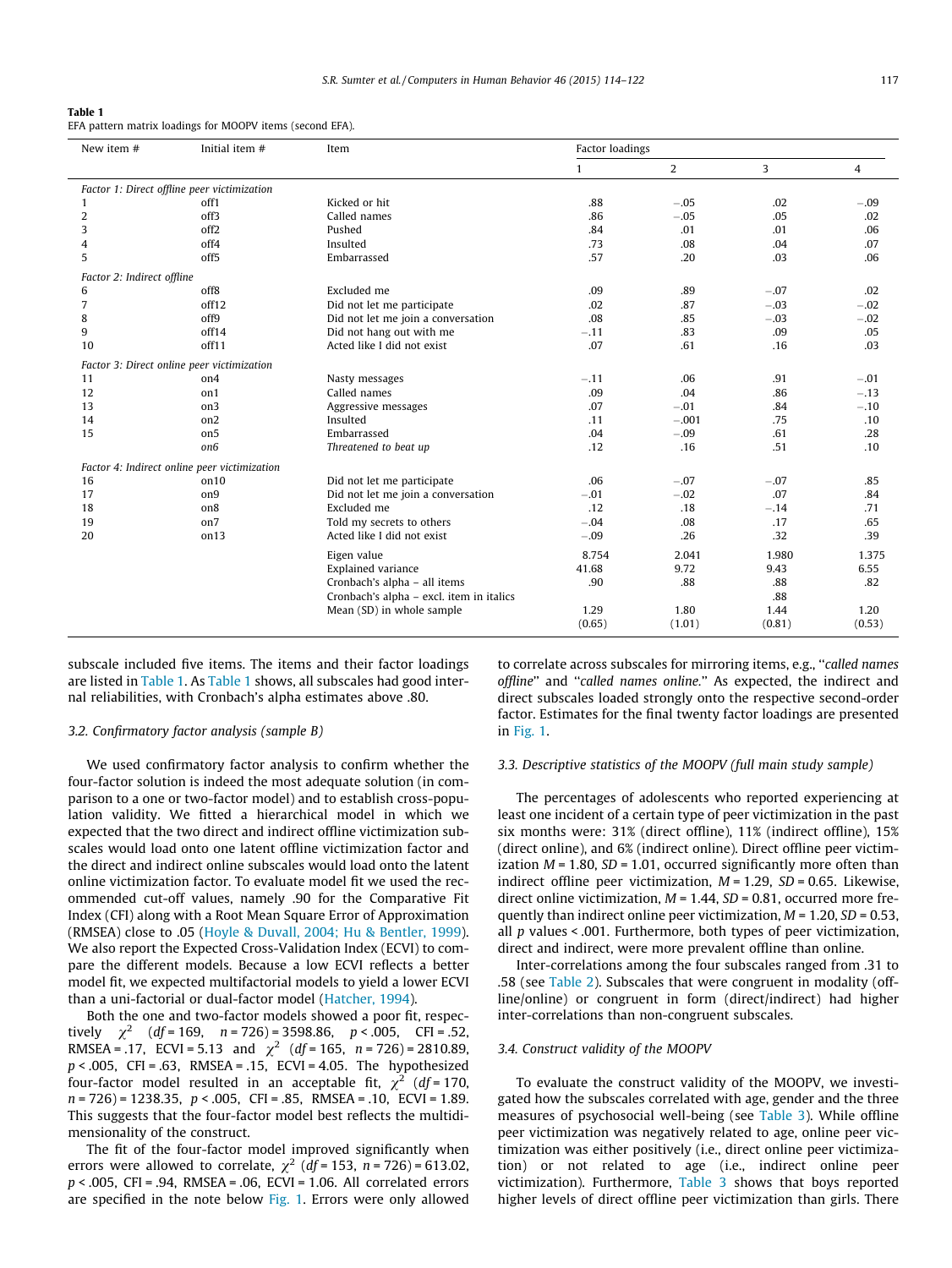<span id="page-3-0"></span>

|--|--|

| EFA pattern matrix loadings for MOOPV items (second EFA). |  |
|-----------------------------------------------------------|--|
|-----------------------------------------------------------|--|

| Initial item #<br>New item #<br>Item         |                  |                                          | Factor loadings |         |        |        |
|----------------------------------------------|------------------|------------------------------------------|-----------------|---------|--------|--------|
|                                              |                  |                                          | $\mathbf{1}$    | 2       | 3      | 4      |
| Factor 1: Direct offline peer victimization  |                  |                                          |                 |         |        |        |
| 1                                            | off1             | Kicked or hit                            | .88             | $-.05$  | .02    | $-.09$ |
| $\overline{2}$                               | off3             | Called names                             | .86             | $-.05$  | .05    | .02    |
| 3                                            | off <sub>2</sub> | Pushed                                   | .84             | .01     | .01    | .06    |
| 4                                            | off4             | Insulted                                 | .73             | .08     | .04    | .07    |
| 5                                            | off <sub>5</sub> | Embarrassed                              | .57             | .20     | .03    | .06    |
| Factor 2: Indirect offline                   |                  |                                          |                 |         |        |        |
| 6                                            | off8             | Excluded me                              | .09             | .89     | $-.07$ | .02    |
| 7                                            | off12            | Did not let me participate               | .02             | .87     | $-.03$ | $-.02$ |
| 8                                            | off9             | Did not let me join a conversation       | .08             | .85     | $-.03$ | $-.02$ |
| 9                                            | off14            | Did not hang out with me                 | $-.11$          | .83     | .09    | .05    |
| 10                                           | off11            | Acted like I did not exist               | .07             | .61     | .16    | .03    |
| Factor 3: Direct online peer victimization   |                  |                                          |                 |         |        |        |
| 11                                           | on4              | Nasty messages                           | $-.11$          | .06     | .91    | $-.01$ |
| 12                                           | on1              | Called names                             | .09             | .04     | .86    | $-.13$ |
| 13                                           | on3              | Aggressive messages                      | .07             | $-.01$  | .84    | $-.10$ |
| 14                                           | on <sub>2</sub>  | Insulted                                 | .11             | $-.001$ | .75    | .10    |
| 15                                           | on <sub>5</sub>  | Embarrassed                              | .04             | $-.09$  | .61    | .28    |
|                                              | on6              | Threatened to beat up                    | .12             | .16     | .51    | .10    |
| Factor 4: Indirect online peer victimization |                  |                                          |                 |         |        |        |
| 16                                           | on10             | Did not let me participate               | .06             | $-.07$  | $-.07$ | .85    |
| 17                                           | on9              | Did not let me join a conversation       | $-.01$          | $-.02$  | .07    | .84    |
| 18                                           | on <sub>8</sub>  | Excluded me                              | .12             | .18     | $-.14$ | .71    |
| 19                                           | on7              | Told my secrets to others                | $-.04$          | .08     | .17    | .65    |
| 20                                           | on13             | Acted like I did not exist               | $-.09$          | .26     | .32    | .39    |
|                                              |                  | Eigen value                              | 8.754           | 2.041   | 1.980  | 1.375  |
|                                              |                  | <b>Explained variance</b>                | 41.68           | 9.72    | 9.43   | 6.55   |
|                                              |                  | Cronbach's alpha - all items             | .90             | .88     | .88    | .82    |
|                                              |                  | Cronbach's alpha - excl. item in italics |                 |         | .88    |        |
|                                              |                  | Mean (SD) in whole sample                | 1.29            | 1.80    | 1.44   | 1.20   |
|                                              |                  |                                          | (0.65)          | (1.01)  | (0.81) | (0.53) |

subscale included five items. The items and their factor loadings are listed in Table 1. As Table 1 shows, all subscales had good internal reliabilities, with Cronbach's alpha estimates above .80.

#### 3.2. Confirmatory factor analysis (sample B)

We used confirmatory factor analysis to confirm whether the four-factor solution is indeed the most adequate solution (in comparison to a one or two-factor model) and to establish cross-population validity. We fitted a hierarchical model in which we expected that the two direct and indirect offline victimization subscales would load onto one latent offline victimization factor and the direct and indirect online subscales would load onto the latent online victimization factor. To evaluate model fit we used the recommended cut-off values, namely .90 for the Comparative Fit Index (CFI) along with a Root Mean Square Error of Approximation (RMSEA) close to .05 ([Hoyle & Duvall, 2004; Hu & Bentler, 1999\)](#page-7-0). We also report the Expected Cross-Validation Index (ECVI) to compare the different models. Because a low ECVI reflects a better model fit, we expected multifactorial models to yield a lower ECVI than a uni-factorial or dual-factor model [\(Hatcher, 1994](#page-7-0)).

Both the one and two-factor models showed a poor fit, respectively  $\chi^2$  (df = 169, n = 726) = 3598.86, p < .005, CFI = .52, RMSEA = .17, ECVI = 5.13 and  $\chi^2$  (df = 165, n = 726) = 2810.89,  $p < .005$ , CFI = .63, RMSEA = .15, ECVI = 4.05. The hypothesized four-factor model resulted in an acceptable fit,  $\chi^2$  (df = 170,  $n = 726$ ) = 1238.35,  $p < .005$ , CFI = .85, RMSEA = .10, ECVI = 1.89. This suggests that the four-factor model best reflects the multidimensionality of the construct.

The fit of the four-factor model improved significantly when errors were allowed to correlate,  $\chi^2$  (df = 153, n = 726) = 613.02, p < .005, CFI = .94, RMSEA = .06, ECVI = 1.06. All correlated errors are specified in the note below [Fig. 1.](#page-4-0) Errors were only allowed to correlate across subscales for mirroring items, e.g., ''called names offline'' and ''called names online.'' As expected, the indirect and direct subscales loaded strongly onto the respective second-order factor. Estimates for the final twenty factor loadings are presented in [Fig. 1](#page-4-0).

# 3.3. Descriptive statistics of the MOOPV (full main study sample)

The percentages of adolescents who reported experiencing at least one incident of a certain type of peer victimization in the past six months were: 31% (direct offline), 11% (indirect offline), 15% (direct online), and 6% (indirect online). Direct offline peer victimization  $M = 1.80$ ,  $SD = 1.01$ , occurred significantly more often than indirect offline peer victimization,  $M = 1.29$ ,  $SD = 0.65$ . Likewise, direct online victimization,  $M = 1.44$ ,  $SD = 0.81$ , occurred more frequently than indirect online peer victimization,  $M = 1.20$ ,  $SD = 0.53$ , all  $p$  values < .001. Furthermore, both types of peer victimization, direct and indirect, were more prevalent offline than online.

Inter-correlations among the four subscales ranged from .31 to .58 (see [Table 2\)](#page-4-0). Subscales that were congruent in modality (offline/online) or congruent in form (direct/indirect) had higher inter-correlations than non-congruent subscales.

#### 3.4. Construct validity of the MOOPV

To evaluate the construct validity of the MOOPV, we investigated how the subscales correlated with age, gender and the three measures of psychosocial well-being (see [Table 3](#page-4-0)). While offline peer victimization was negatively related to age, online peer victimization was either positively (i.e., direct online peer victimization) or not related to age (i.e., indirect online peer victimization). Furthermore, [Table 3](#page-4-0) shows that boys reported higher levels of direct offline peer victimization than girls. There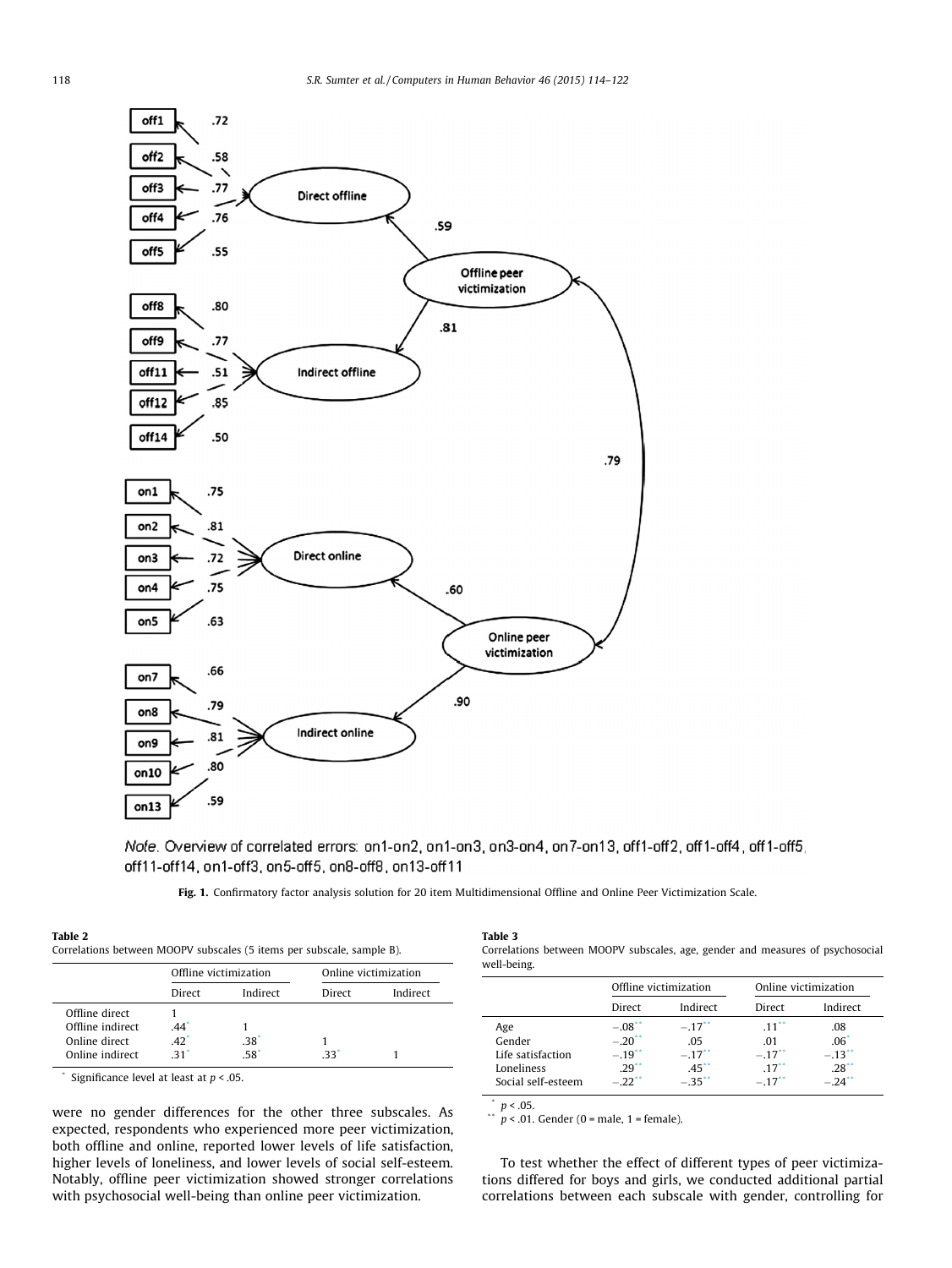<span id="page-4-0"></span>

Note. Overview of correlated errors: on1-on2, on1-on3, on3-on4, on7-on13, off1-off2, off1-off4, off1-off5, off11-off14, on1-off3, on5-off5, on8-off8, on13-off11

Fig. 1. Confirmatory factor analysis solution for 20 item Multidimensional Offline and Online Peer Victimization Scale.

|                  | Offline victimization |                  | Online victimization |          |
|------------------|-----------------------|------------------|----------------------|----------|
|                  | Direct                | Indirect         | Direct               | Indirect |
| Offline direct   |                       |                  |                      |          |
| Offline indirect | .44                   |                  |                      |          |
| Online direct    | .42                   | .38 <sup>°</sup> |                      |          |
| Online indirect  | 31                    | 58               | 33                   |          |

\* Significance level at least at  $p < .05$ .

were no gender differences for the other three subscales. As expected, respondents who experienced more peer victimization, both offline and online, reported lower levels of life satisfaction, higher levels of loneliness, and lower levels of social self-esteem. Notably, offline peer victimization showed stronger correlations with psychosocial well-being than online peer victimization.

Table 3

Correlations between MOOPV subscales, age, gender and measures of psychosocial well-being.

| Offline victimization                                                                                                                                                                                                                             | Online victimization                                                       |                                                       |
|---------------------------------------------------------------------------------------------------------------------------------------------------------------------------------------------------------------------------------------------------|----------------------------------------------------------------------------|-------------------------------------------------------|
| Indirect<br>Direct                                                                                                                                                                                                                                | Direct                                                                     | Indirect                                              |
| $-.08$<br>$-.17$ <sup>**</sup><br>Age<br>$-.20$ <sup>**</sup><br>Gender<br>.05<br>$-.19$ <sup>**</sup><br>$-.17$ <sup>**</sup><br>Life satisfaction<br>$.29^{**}$<br>$.45***$<br>Loneliness<br>$-22$ <sup>**</sup><br>$-35$<br>Social self-esteem | $.11^{**}$<br>.01<br>$-.17$ <sup>*</sup><br>$.17$ <sup>**</sup><br>$-.17"$ | .08<br>$.06*$<br>$-.13$<br>.28<br>$-24$ <sup>**</sup> |

 $\binom{p}{y}$  = .05.

 $p < .01$ . Gender (0 = male, 1 = female).

To test whether the effect of different types of peer victimizations differed for boys and girls, we conducted additional partial correlations between each subscale with gender, controlling for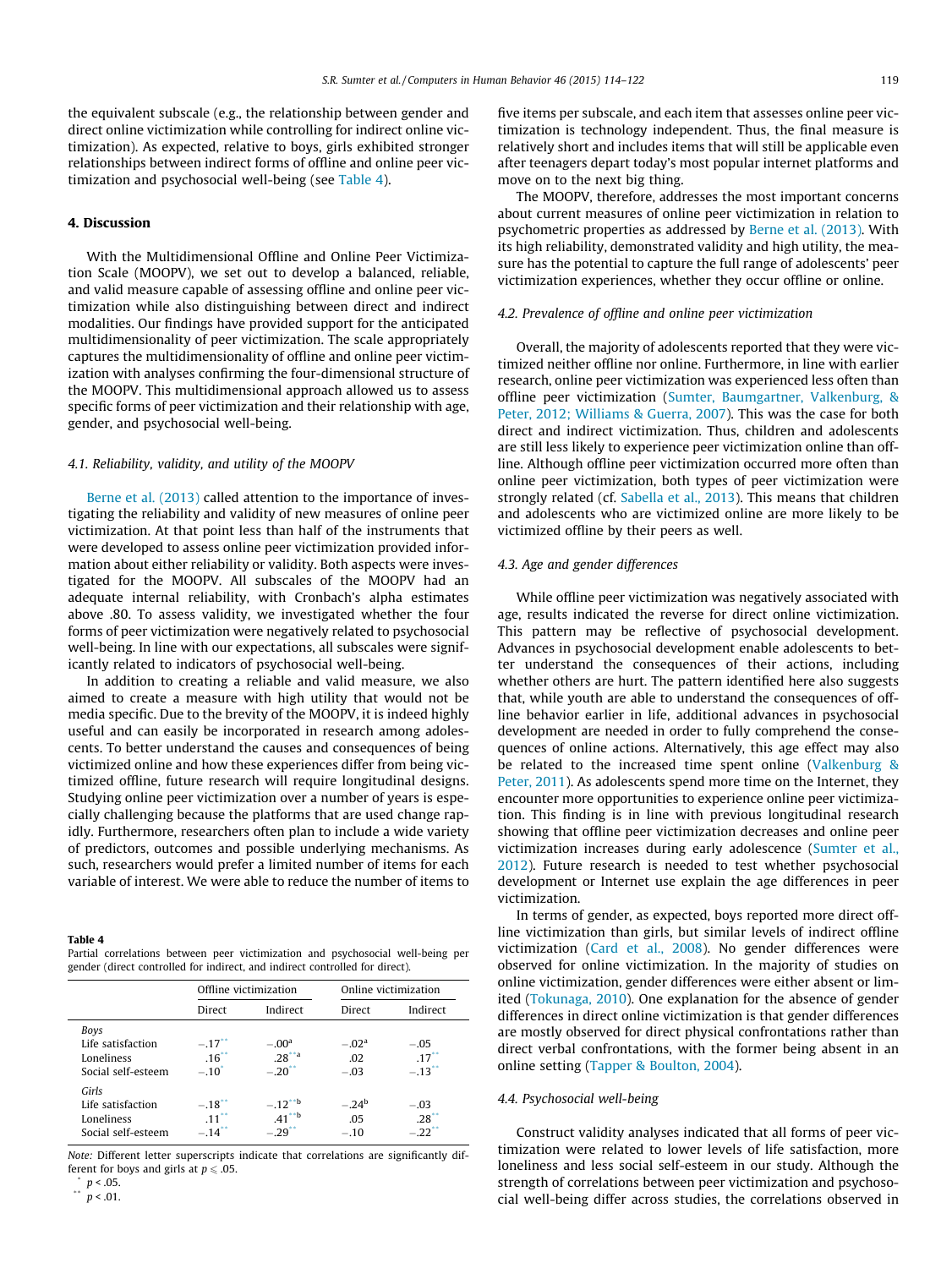the equivalent subscale (e.g., the relationship between gender and direct online victimization while controlling for indirect online victimization). As expected, relative to boys, girls exhibited stronger relationships between indirect forms of offline and online peer victimization and psychosocial well-being (see Table 4).

# 4. Discussion

With the Multidimensional Offline and Online Peer Victimization Scale (MOOPV), we set out to develop a balanced, reliable, and valid measure capable of assessing offline and online peer victimization while also distinguishing between direct and indirect modalities. Our findings have provided support for the anticipated multidimensionality of peer victimization. The scale appropriately captures the multidimensionality of offline and online peer victimization with analyses confirming the four-dimensional structure of the MOOPV. This multidimensional approach allowed us to assess specific forms of peer victimization and their relationship with age, gender, and psychosocial well-being.

#### 4.1. Reliability, validity, and utility of the MOOPV

[Berne et al. \(2013\)](#page-7-0) called attention to the importance of investigating the reliability and validity of new measures of online peer victimization. At that point less than half of the instruments that were developed to assess online peer victimization provided information about either reliability or validity. Both aspects were investigated for the MOOPV. All subscales of the MOOPV had an adequate internal reliability, with Cronbach's alpha estimates above .80. To assess validity, we investigated whether the four forms of peer victimization were negatively related to psychosocial well-being. In line with our expectations, all subscales were significantly related to indicators of psychosocial well-being.

In addition to creating a reliable and valid measure, we also aimed to create a measure with high utility that would not be media specific. Due to the brevity of the MOOPV, it is indeed highly useful and can easily be incorporated in research among adolescents. To better understand the causes and consequences of being victimized online and how these experiences differ from being victimized offline, future research will require longitudinal designs. Studying online peer victimization over a number of years is especially challenging because the platforms that are used change rapidly. Furthermore, researchers often plan to include a wide variety of predictors, outcomes and possible underlying mechanisms. As such, researchers would prefer a limited number of items for each variable of interest. We were able to reduce the number of items to

#### Table 4

Partial correlations between peer victimization and psychosocial well-being per gender (direct controlled for indirect, and indirect controlled for direct).

|                                                                | Offline victimization                                         |                                              | Online victimization      |                                          |
|----------------------------------------------------------------|---------------------------------------------------------------|----------------------------------------------|---------------------------|------------------------------------------|
|                                                                | Direct                                                        | Indirect                                     | Direct                    | Indirect                                 |
| Boys<br>Life satisfaction<br>Loneliness<br>Social self-esteem  | $-.17$ <sup>**</sup><br>$.16$ <sup>**</sup><br>$-.10^{\circ}$ | $-00^a$<br>$.28^{44}$<br>$-20$ <sup>**</sup> | $-.02a$<br>.02<br>$-.03$  | $-.05$<br>$.17*$<br>$-.13$ <sup>**</sup> |
| Girls<br>Life satisfaction<br>Loneliness<br>Social self-esteem | $-.18$ <sup>**</sup><br>$11^{**}$<br>$-.14$ <sup>**</sup>     | $-.12***$<br>$.41***$<br>$-29$ <sup>**</sup> | $-.24^b$<br>.05<br>$-.10$ | $-.03$<br>$.28^{**}$<br>$-.22"$          |

Note: Different letter superscripts indicate that correlations are significantly different for boys and girls at  $p \le 0.05$ .

 $p < .05$ . \*\*  $p < .01$ . five items per subscale, and each item that assesses online peer victimization is technology independent. Thus, the final measure is relatively short and includes items that will still be applicable even after teenagers depart today's most popular internet platforms and move on to the next big thing.

The MOOPV, therefore, addresses the most important concerns about current measures of online peer victimization in relation to psychometric properties as addressed by [Berne et al. \(2013\)](#page-7-0). With its high reliability, demonstrated validity and high utility, the measure has the potential to capture the full range of adolescents' peer victimization experiences, whether they occur offline or online.

# 4.2. Prevalence of offline and online peer victimization

Overall, the majority of adolescents reported that they were victimized neither offline nor online. Furthermore, in line with earlier research, online peer victimization was experienced less often than offline peer victimization [\(Sumter, Baumgartner, Valkenburg, &](#page-8-0) [Peter, 2012; Williams & Guerra, 2007](#page-8-0)). This was the case for both direct and indirect victimization. Thus, children and adolescents are still less likely to experience peer victimization online than offline. Although offline peer victimization occurred more often than online peer victimization, both types of peer victimization were strongly related (cf. [Sabella et al., 2013](#page-7-0)). This means that children and adolescents who are victimized online are more likely to be victimized offline by their peers as well.

# 4.3. Age and gender differences

While offline peer victimization was negatively associated with age, results indicated the reverse for direct online victimization. This pattern may be reflective of psychosocial development. Advances in psychosocial development enable adolescents to better understand the consequences of their actions, including whether others are hurt. The pattern identified here also suggests that, while youth are able to understand the consequences of offline behavior earlier in life, additional advances in psychosocial development are needed in order to fully comprehend the consequences of online actions. Alternatively, this age effect may also be related to the increased time spent online [\(Valkenburg &](#page-8-0) [Peter, 2011](#page-8-0)). As adolescents spend more time on the Internet, they encounter more opportunities to experience online peer victimization. This finding is in line with previous longitudinal research showing that offline peer victimization decreases and online peer victimization increases during early adolescence ([Sumter et al.,](#page-8-0) [2012](#page-8-0)). Future research is needed to test whether psychosocial development or Internet use explain the age differences in peer victimization.

In terms of gender, as expected, boys reported more direct offline victimization than girls, but similar levels of indirect offline victimization ([Card et al., 2008\)](#page-7-0). No gender differences were observed for online victimization. In the majority of studies on online victimization, gender differences were either absent or limited [\(Tokunaga, 2010](#page-8-0)). One explanation for the absence of gender differences in direct online victimization is that gender differences are mostly observed for direct physical confrontations rather than direct verbal confrontations, with the former being absent in an online setting [\(Tapper & Boulton, 2004](#page-8-0)).

## 4.4. Psychosocial well-being

Construct validity analyses indicated that all forms of peer victimization were related to lower levels of life satisfaction, more loneliness and less social self-esteem in our study. Although the strength of correlations between peer victimization and psychosocial well-being differ across studies, the correlations observed in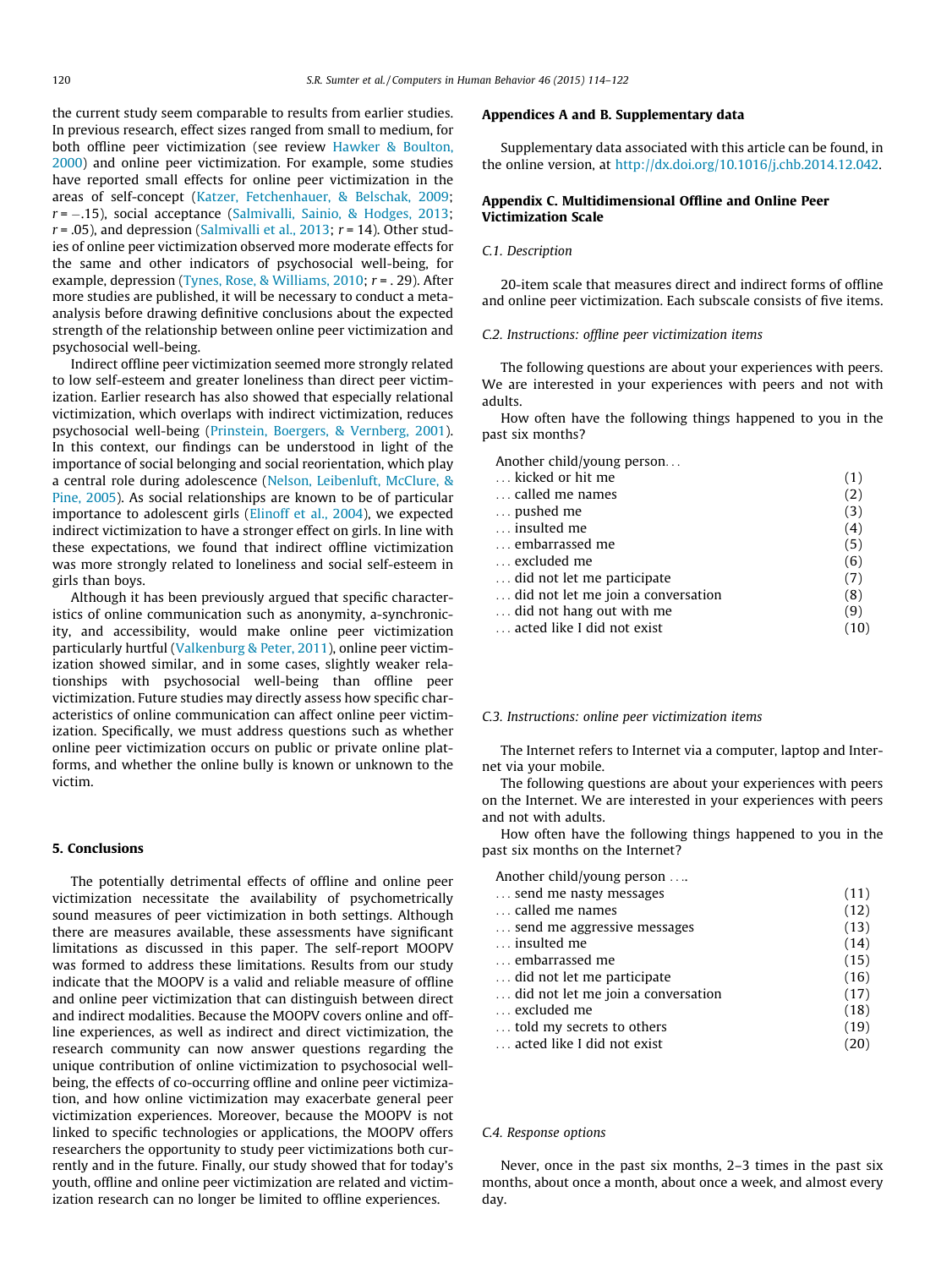<span id="page-6-0"></span>the current study seem comparable to results from earlier studies. In previous research, effect sizes ranged from small to medium, for both offline peer victimization (see review [Hawker & Boulton,](#page-7-0) [2000\)](#page-7-0) and online peer victimization. For example, some studies have reported small effects for online peer victimization in the areas of self-concept [\(Katzer, Fetchenhauer, & Belschak, 2009;](#page-7-0) r = -.15), social acceptance ([Salmivalli, Sainio, & Hodges, 2013;](#page-7-0)  $r = .05$ ), and depression ([Salmivalli et al., 2013](#page-7-0);  $r = 14$ ). Other studies of online peer victimization observed more moderate effects for the same and other indicators of psychosocial well-being, for example, depression [\(Tynes, Rose, & Williams, 2010](#page-8-0); r = . 29). After more studies are published, it will be necessary to conduct a metaanalysis before drawing definitive conclusions about the expected strength of the relationship between online peer victimization and psychosocial well-being.

Indirect offline peer victimization seemed more strongly related to low self-esteem and greater loneliness than direct peer victimization. Earlier research has also showed that especially relational victimization, which overlaps with indirect victimization, reduces psychosocial well-being ([Prinstein, Boergers, & Vernberg, 2001\)](#page-7-0). In this context, our findings can be understood in light of the importance of social belonging and social reorientation, which play a central role during adolescence [\(Nelson, Leibenluft, McClure, &](#page-7-0) [Pine, 2005\)](#page-7-0). As social relationships are known to be of particular importance to adolescent girls [\(Elinoff et al., 2004](#page-7-0)), we expected indirect victimization to have a stronger effect on girls. In line with these expectations, we found that indirect offline victimization was more strongly related to loneliness and social self-esteem in girls than boys.

Although it has been previously argued that specific characteristics of online communication such as anonymity, a-synchronicity, and accessibility, would make online peer victimization particularly hurtful ([Valkenburg & Peter, 2011](#page-8-0)), online peer victimization showed similar, and in some cases, slightly weaker relationships with psychosocial well-being than offline peer victimization. Future studies may directly assess how specific characteristics of online communication can affect online peer victimization. Specifically, we must address questions such as whether online peer victimization occurs on public or private online platforms, and whether the online bully is known or unknown to the victim.

## 5. Conclusions

The potentially detrimental effects of offline and online peer victimization necessitate the availability of psychometrically sound measures of peer victimization in both settings. Although there are measures available, these assessments have significant limitations as discussed in this paper. The self-report MOOPV was formed to address these limitations. Results from our study indicate that the MOOPV is a valid and reliable measure of offline and online peer victimization that can distinguish between direct and indirect modalities. Because the MOOPV covers online and offline experiences, as well as indirect and direct victimization, the research community can now answer questions regarding the unique contribution of online victimization to psychosocial wellbeing, the effects of co-occurring offline and online peer victimization, and how online victimization may exacerbate general peer victimization experiences. Moreover, because the MOOPV is not linked to specific technologies or applications, the MOOPV offers researchers the opportunity to study peer victimizations both currently and in the future. Finally, our study showed that for today's youth, offline and online peer victimization are related and victimization research can no longer be limited to offline experiences.

# Appendices A and B. Supplementary data

Supplementary data associated with this article can be found, in the online version, at [http://dx.doi.org/10.1016/j.chb.2014.12.042.](http://dx.doi.org/10.1016/j.chb.2014.12.042)

# Appendix C. Multidimensional Offline and Online Peer Victimization Scale

## C.1. Description

20-item scale that measures direct and indirect forms of offline and online peer victimization. Each subscale consists of five items.

## C.2. Instructions: offline peer victimization items

The following questions are about your experiences with peers. We are interested in your experiences with peers and not with adults.

How often have the following things happened to you in the past six months?

Another child/young person...

| kicked or hit me                   | (1)  |
|------------------------------------|------|
| called me names                    | (2)  |
| pushed me                          | (3)  |
| insulted me                        | (4)  |
| embarrassed me                     | (5)  |
| excluded me                        | (6)  |
| did not let me participate         | (7)  |
| did not let me join a conversation | (8)  |
| did not hang out with me           | (9)  |
| acted like I did not exist         | (10) |
|                                    |      |

## C.3. Instructions: online peer victimization items

The Internet refers to Internet via a computer, laptop and Internet via your mobile.

The following questions are about your experiences with peers on the Internet. We are interested in your experiences with peers and not with adults.

How often have the following things happened to you in the past six months on the Internet?

| Another child/young person         |      |
|------------------------------------|------|
| send me nasty messages             | (11) |
| called me names                    | (12) |
| send me aggressive messages        | (13) |
| insulted me                        | (14) |
| embarrassed me                     | (15) |
| did not let me participate         | (16) |
| did not let me join a conversation | (17) |
| excluded me                        | (18) |
| told my secrets to others          | (19) |
| acted like I did not exist         | (20) |
|                                    |      |

# C.4. Response options

Never, once in the past six months, 2–3 times in the past six months, about once a month, about once a week, and almost every day.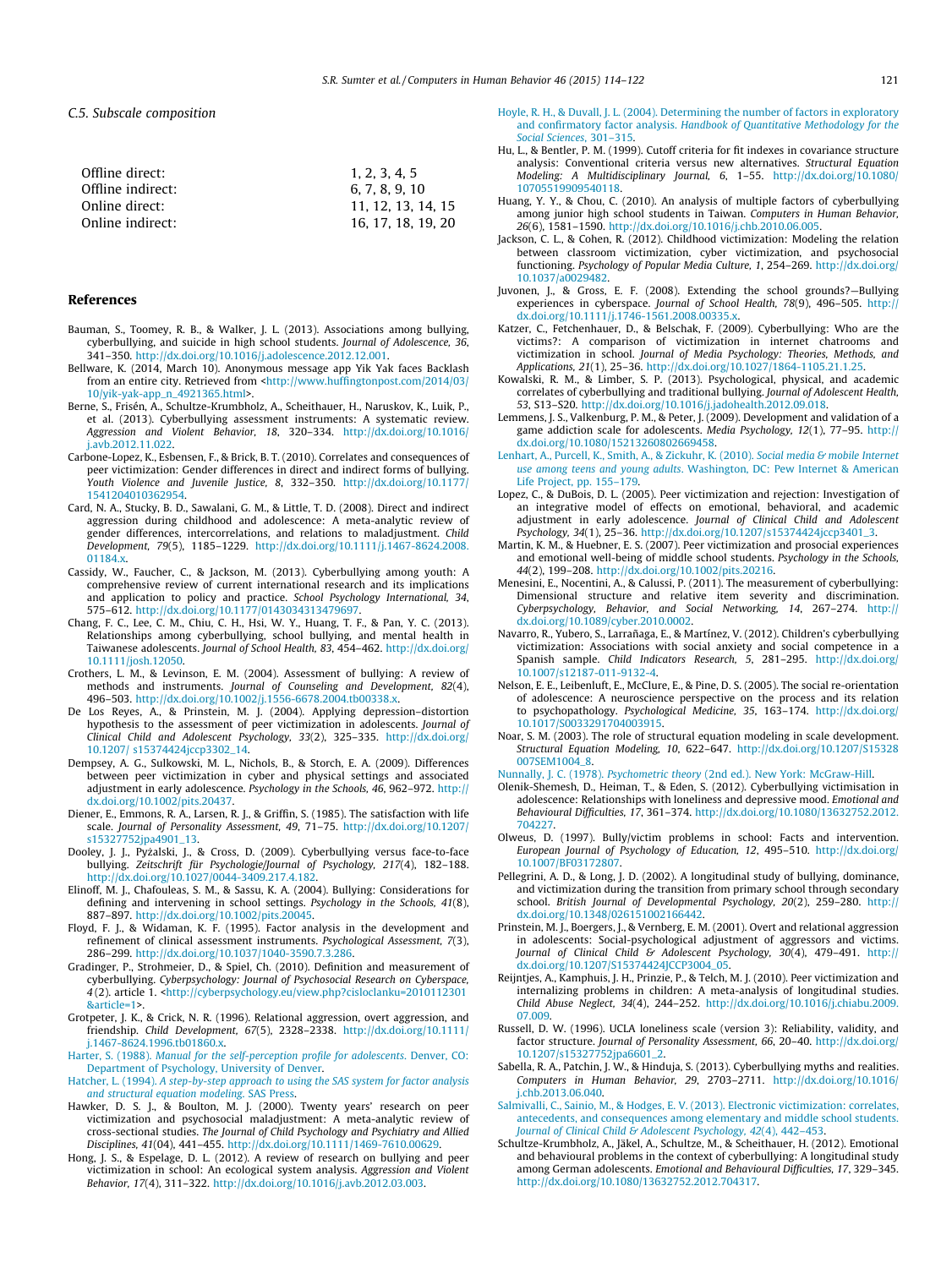#### <span id="page-7-0"></span>C.5. Subscale composition

| Offline direct:   | 1, 2, 3, 4, 5      |
|-------------------|--------------------|
| Offline indirect: | 6, 7, 8, 9, 10     |
| Online direct:    | 11, 12, 13, 14, 15 |
| Online indirect:  | 16, 17, 18, 19, 20 |

#### References

- Bauman, S., Toomey, R. B., & Walker, J. L. (2013). Associations among bullying, cyberbullying, and suicide in high school students. Journal of Adolescence, 36, 341–350. <http://dx.doi.org/10.1016/j.adolescence.2012.12.001>.
- Bellware, K. (2014, March 10). Anonymous message app Yik Yak faces Backlash from an entire city. Retrieved from <[http://www.huffingtonpost.com/2014/03/](http://www.huffingtonpost.com/2014/03/10/yik-yak-app_n_4921365.html) [10/yik-yak-app\\_n\\_4921365.html>](http://www.huffingtonpost.com/2014/03/10/yik-yak-app_n_4921365.html).
- Berne, S., Frisén, A., Schultze-Krumbholz, A., Scheithauer, H., Naruskov, K., Luik, P., et al. (2013). Cyberbullying assessment instruments: A systematic review. Aggression and Violent Behavior, 18, 320–334. [http://dx.doi.org/10.1016/](http://dx.doi.org/10.1016/j.avb.2012.11.022) [j.avb.2012.11.022.](http://dx.doi.org/10.1016/j.avb.2012.11.022)
- Carbone-Lopez, K., Esbensen, F., & Brick, B. T. (2010). Correlates and consequences of peer victimization: Gender differences in direct and indirect forms of bullying. Youth Violence and Juvenile Justice, 8, 332–350. [http://dx.doi.org/10.1177/](http://dx.doi.org/10.1177/1541204010362954) [1541204010362954](http://dx.doi.org/10.1177/1541204010362954).
- Card, N. A., Stucky, B. D., Sawalani, G. M., & Little, T. D. (2008). Direct and indirect aggression during childhood and adolescence: A meta-analytic review of gender differences, intercorrelations, and relations to maladjustment. Child Development, 79(5), 1185–1229. [http://dx.doi.org/10.1111/j.1467-8624.2008.](http://dx.doi.org/10.1111/j.1467-8624.2008.01184.x) 01184.x
- Cassidy, W., Faucher, C., & Jackson, M. (2013). Cyberbullying among youth: A comprehensive review of current international research and its implications and application to policy and practice. School Psychology International, 34, 575–612. [http://dx.doi.org/10.1177/0143034313479697.](http://dx.doi.org/10.1177/0143034313479697)
- Chang, F. C., Lee, C. M., Chiu, C. H., Hsi, W. Y., Huang, T. F., & Pan, Y. C. (2013). Relationships among cyberbullying, school bullying, and mental health in Taiwanese adolescents. Journal of School Health, 83, 454–462. [http://dx.doi.org/](http://dx.doi.org/10.1111/josh.12050) [10.1111/josh.12050](http://dx.doi.org/10.1111/josh.12050).
- Crothers, L. M., & Levinson, E. M. (2004). Assessment of bullying: A review of methods and instruments. Journal of Counseling and Development, 82(4), 496–503. [http://dx.doi.org/10.1002/j.1556-6678.2004.tb00338.x.](http://dx.doi.org/10.1002/j.1556-6678.2004.tb00338.x)
- De Los Reyes, A., & Prinstein, M. J. (2004). Applying depression–distortion hypothesis to the assessment of peer victimization in adolescents. Journal of Clinical Child and Adolescent Psychology, 33(2), 325–335. [http://dx.doi.org/](http://dx.doi.org/10.1207/s15374424jccp3302_14) [10.1207/ s15374424jccp3302\\_14.](http://dx.doi.org/10.1207/s15374424jccp3302_14)
- Dempsey, A. G., Sulkowski, M. L., Nichols, B., & Storch, E. A. (2009). Differences between peer victimization in cyber and physical settings and associated adjustment in early adolescence. Psychology in the Schools, 46, 962–972. [http://](http://dx.doi.org/10.1002/pits.20437) [dx.doi.org/10.1002/pits.20437](http://dx.doi.org/10.1002/pits.20437).
- Diener, E., Emmons, R. A., Larsen, R. J., & Griffin, S. (1985). The satisfaction with life scale. Journal of Personality Assessment, 49, 71–75. [http://dx.doi.org/10.1207/](http://dx.doi.org/10.1207/s15327752jpa4901_13) [s15327752jpa4901\\_13](http://dx.doi.org/10.1207/s15327752jpa4901_13).
- Dooley, J. J., Pyżalski, J., & Cross, D. (2009). Cyberbullying versus face-to-face bullying. Zeitschrift für Psychologie/Journal of Psychology, 217(4), 182–188. [http://dx.doi.org/10.1027/0044-3409.217.4.182.](http://dx.doi.org/10.1027/0044-3409.217.4.182)
- Elinoff, M. J., Chafouleas, S. M., & Sassu, K. A. (2004). Bullying: Considerations for defining and intervening in school settings. Psychology in the Schools, 41(8), 887–897. <http://dx.doi.org/10.1002/pits.20045>.
- Floyd, F. J., & Widaman, K. F. (1995). Factor analysis in the development and refinement of clinical assessment instruments. Psychological Assessment, 7(3), 286–299. <http://dx.doi.org/10.1037/1040-3590.7.3.286>.
- Gradinger, P., Strohmeier, D., & Spiel, Ch. (2010). Definition and measurement of cyberbullying. Cyberpsychology: Journal of Psychosocial Research on Cyberspace, 4 (2). article 1. <[http://cyberpsychology.eu/view.php?cisloclanku=2010112301](http://cyberpsychology.eu/view.php?cisloclanku=2010112301%26article=1) [&article=1](http://cyberpsychology.eu/view.php?cisloclanku=2010112301%26article=1)>.
- Grotpeter, J. K., & Crick, N. R. (1996). Relational aggression, overt aggression, and friendship. Child Development, 67(5), 2328–2338. [http://dx.doi.org/10.1111/](http://dx.doi.org/10.1111/j.1467-8624.1996.tb01860.x) [j.1467-8624.1996.tb01860.x](http://dx.doi.org/10.1111/j.1467-8624.1996.tb01860.x).
- Harter, S. (1988). [Manual for the self-perception profile for adolescents](http://refhub.elsevier.com/S0747-5632(14)00765-1/h0085). Denver, CO: [Department of Psychology, University of Denver](http://refhub.elsevier.com/S0747-5632(14)00765-1/h0085).
- Hatcher, L. (1994). [A step-by-step approach to using the SAS system for factor analysis](http://refhub.elsevier.com/S0747-5632(14)00765-1/h0330) [and structural equation modeling](http://refhub.elsevier.com/S0747-5632(14)00765-1/h0330). SAS Press.
- Hawker, D. S. J., & Boulton, M. J. (2000). Twenty years' research on peer victimization and psychosocial maladjustment: A meta-analytic review of cross-sectional studies. The Journal of Child Psychology and Psychiatry and Allied Disciplines, 41(04), 441–455. [http://dx.doi.org/10.1111/1469-7610.00629.](http://dx.doi.org/10.1111/1469-7610.00629)
- Hong, J. S., & Espelage, D. L. (2012). A review of research on bullying and peer victimization in school: An ecological system analysis. Aggression and Violent Behavior, 17(4), 311–322. <http://dx.doi.org/10.1016/j.avb.2012.03.003>.
- [Hoyle, R. H., & Duvall, J. L. \(2004\). Determining the number of factors in exploratory](http://refhub.elsevier.com/S0747-5632(14)00765-1/h0105) and confirmatory factor analysis. [Handbook of Quantitative Methodology for the](http://refhub.elsevier.com/S0747-5632(14)00765-1/h0105) [Social Sciences](http://refhub.elsevier.com/S0747-5632(14)00765-1/h0105), 301–315.
- Hu, L., & Bentler, P. M. (1999). Cutoff criteria for fit indexes in covariance structure analysis: Conventional criteria versus new alternatives. Structural Equation Modeling: A Multidisciplinary Journal, 6, 1–55. [http://dx.doi.org/10.1080/](http://dx.doi.org/10.1080/10705519909540118) [10705519909540118](http://dx.doi.org/10.1080/10705519909540118).
- Huang, Y. Y., & Chou, C. (2010). An analysis of multiple factors of cyberbullying among junior high school students in Taiwan. Computers in Human Behavior, 26(6), 1581–1590. [http://dx.doi.org/10.1016/j.chb.2010.06.005.](http://dx.doi.org/10.1016/j.chb.2010.06.005)
- Jackson, C. L., & Cohen, R. (2012). Childhood victimization: Modeling the relation between classroom victimization, cyber victimization, and psychosocial functioning. Psychology of Popular Media Culture, 1, 254–269. [http://dx.doi.org/](http://dx.doi.org/10.1037/a0029482) [10.1037/a0029482](http://dx.doi.org/10.1037/a0029482).
- Juvonen, J., & Gross, E. F. (2008). Extending the school grounds?—Bullying experiences in cyberspace. Journal of School Health, 78(9), 496-505. http:/ [dx.doi.org/10.1111/j.1746-1561.2008.00335.x.](http://dx.doi.org/10.1111/j.1746-1561.2008.00335.x)
- Katzer, C., Fetchenhauer, D., & Belschak, F. (2009). Cyberbullying: Who are the victims?: A comparison of victimization in internet chatrooms and victimization in school. Journal of Media Psychology: Theories, Methods, and Applications, 21(1), 25–36. <http://dx.doi.org/10.1027/1864-1105.21.1.25>.
- Kowalski, R. M., & Limber, S. P. (2013). Psychological, physical, and academic correlates of cyberbullying and traditional bullying. Journal of Adolescent Health, 53, S13–S20. <http://dx.doi.org/10.1016/j.jadohealth.2012.09.018>.
- Lemmens, J. S., Valkenburg, P. M., & Peter, J. (2009). Development and validation of a game addiction scale for adolescents. Media Psychology, 12(1), 77–95. [http://](http://dx.doi.org/10.1080/15213260802669458) [dx.doi.org/10.1080/15213260802669458](http://dx.doi.org/10.1080/15213260802669458).
- [Lenhart, A., Purcell, K., Smith, A., & Zickuhr, K. \(2010\).](http://refhub.elsevier.com/S0747-5632(14)00765-1/h0210) Social media & mobile Internet use among teens and young adults[. Washington, DC: Pew Internet & American](http://refhub.elsevier.com/S0747-5632(14)00765-1/h0210) [Life Project, pp. 155–179](http://refhub.elsevier.com/S0747-5632(14)00765-1/h0210).
- Lopez, C., & DuBois, D. L. (2005). Peer victimization and rejection: Investigation of an integrative model of effects on emotional, behavioral, and academic adjustment in early adolescence. Journal of Clinical Child and Adolescent Psychology, 34(1), 25–36. [http://dx.doi.org/10.1207/s15374424jccp3401\\_3.](http://dx.doi.org/10.1207/s15374424jccp3401_3)
- Martin, K. M., & Huebner, E. S. (2007). Peer victimization and prosocial experiences and emotional well-being of middle school students. Psychology in the Schools, 44(2), 199–208. [http://dx.doi.org/10.1002/pits.20216.](http://dx.doi.org/10.1002/pits.20216)
- Menesini, E., Nocentini, A., & Calussi, P. (2011). The measurement of cyberbullying: Dimensional structure and relative item severity and discrimination. Cyberpsychology, Behavior, and Social Networking, 14, 267–274. [http://](http://dx.doi.org/10.1089/cyber.2010.0002) [dx.doi.org/10.1089/cyber.2010.0002](http://dx.doi.org/10.1089/cyber.2010.0002).
- Navarro, R., Yubero, S., Larrañaga, E., & Martínez, V. (2012). Children's cyberbullying victimization: Associations with social anxiety and social competence in a Spanish sample. Child Indicators Research, 5, 281–295. [http://dx.doi.org/](http://dx.doi.org/10.1007/s12187-011-9132-4) [10.1007/s12187-011-9132-4.](http://dx.doi.org/10.1007/s12187-011-9132-4)
- Nelson, E. E., Leibenluft, E., McClure, E., & Pine, D. S. (2005). The social re-orientation of adolescence: A neuroscience perspective on the process and its relation to psychopathology. Psychological Medicine, 35, 163–174. [http://dx.doi.org/](http://dx.doi.org/10.1017/S0033291704003915) [10.1017/S0033291704003915](http://dx.doi.org/10.1017/S0033291704003915).
- Noar, S. M. (2003). The role of structural equation modeling in scale development. Structural Equation Modeling, 10, 622–647. [http://dx.doi.org/10.1207/S15328](http://dx.doi.org/10.1207/S15328007SEM1004_8) [007SEM1004\\_8](http://dx.doi.org/10.1207/S15328007SEM1004_8).
- Nunnally, J. C. (1978). Psychometric theory [\(2nd ed.\). New York: McGraw-Hill.](http://refhub.elsevier.com/S0747-5632(14)00765-1/h0180)
- Olenik-Shemesh, D., Heiman, T., & Eden, S. (2012). Cyberbullying victimisation in adolescence: Relationships with loneliness and depressive mood. Emotional and Behavioural Difficulties, 17, 361–374. [http://dx.doi.org/10.1080/13632752.2012.](http://dx.doi.org/10.1080/13632752.2012.704227) [704227](http://dx.doi.org/10.1080/13632752.2012.704227).
- Olweus, D. (1997). Bully/victim problems in school: Facts and intervention. European Journal of Psychology of Education, 12, 495–510. [http://dx.doi.org/](http://dx.doi.org/10.1007/BF03172807) [10.1007/BF03172807.](http://dx.doi.org/10.1007/BF03172807)
- Pellegrini, A. D., & Long, J. D. (2002). A longitudinal study of bullying, dominance, and victimization during the transition from primary school through secondary school. British Journal of Developmental Psychology, 20(2), 259-280. [http://](http://dx.doi.org/10.1348/026151002166442) [dx.doi.org/10.1348/026151002166442.](http://dx.doi.org/10.1348/026151002166442)
- Prinstein, M. J., Boergers, J., & Vernberg, E. M. (2001). Overt and relational aggression in adolescents: Social-psychological adjustment of aggressors and victims. Journal of Clinical Child & Adolescent Psychology, 30(4), 479-491. [http://](http://dx.doi.org/10.1207/S15374424JCCP3004_05) [dx.doi.org/10.1207/S15374424JCCP3004\\_05](http://dx.doi.org/10.1207/S15374424JCCP3004_05).
- Reijntjes, A., Kamphuis, J. H., Prinzie, P., & Telch, M. J. (2010). Peer victimization and internalizing problems in children: A meta-analysis of longitudinal studies. Child Abuse Neglect, 34(4), 244–252. [http://dx.doi.org/10.1016/j.chiabu.2009.](http://dx.doi.org/10.1016/j.chiabu.2009.07.009) [07.009.](http://dx.doi.org/10.1016/j.chiabu.2009.07.009)
- Russell, D. W. (1996). UCLA loneliness scale (version 3): Reliability, validity, and factor structure. Journal of Personality Assessment, 66, 20–40. [http://dx.doi.org/](http://dx.doi.org/10.1207/s15327752jpa6601_2) [10.1207/s15327752jpa6601\\_2](http://dx.doi.org/10.1207/s15327752jpa6601_2).
- Sabella, R. A., Patchin, J. W., & Hinduja, S. (2013). Cyberbullying myths and realities. Computers in Human Behavior, 29, 2703–2711. [http://dx.doi.org/10.1016/](http://dx.doi.org/10.1016/j.chb.2013.06.040) [j.chb.2013.06.040.](http://dx.doi.org/10.1016/j.chb.2013.06.040)
- [Salmivalli, C., Sainio, M., & Hodges, E. V. \(2013\). Electronic victimization: correlates,](http://refhub.elsevier.com/S0747-5632(14)00765-1/h9000) [antecedents, and consequences among elementary and middle school students.](http://refhub.elsevier.com/S0747-5632(14)00765-1/h9000) [Journal of Clinical Child & Adolescent Psychology, 42](http://refhub.elsevier.com/S0747-5632(14)00765-1/h9000)(4), 442-453.
- Schultze-Krumbholz, A., Jäkel, A., Schultze, M., & Scheithauer, H. (2012). Emotional and behavioural problems in the context of cyberbullying: A longitudinal study among German adolescents. Emotional and Behavioural Difficulties, 17, 329–345. [http://dx.doi.org/10.1080/13632752.2012.704317.](http://dx.doi.org/10.1080/13632752.2012.704317)